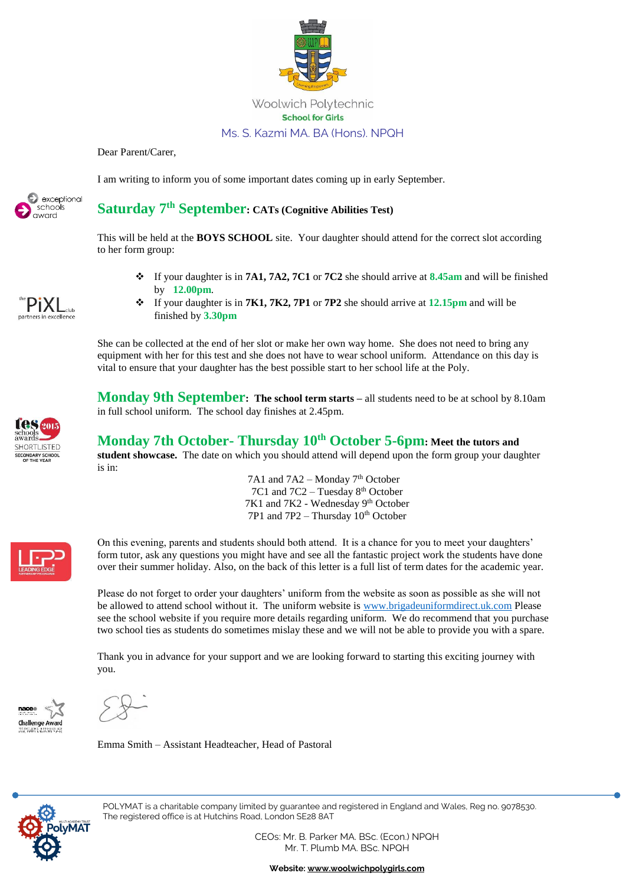

Dear Parent/Carer,

I am writing to inform you of some important dates coming up in early September.



## **Saturday 7th September: CATs (Cognitive Abilities Test)**

This will be held at the **BOYS SCHOOL** site. Your daughter should attend for the correct slot according to her form group:

❖ If your daughter is in **7A1, 7A2, 7C1** or **7C2** she should arrive at **8.45am** and will be finished by **12.00pm**.



❖ If your daughter is in **7K1, 7K2, 7P1** or **7P2** she should arrive at **12.15pm** and will be finished by **3.30pm**

She can be collected at the end of her slot or make her own way home. She does not need to bring any equipment with her for this test and she does not have to wear school uniform. Attendance on this day is vital to ensure that your daughter has the best possible start to her school life at the Poly.

**Monday 9th September: The school term starts – all students need to be at school by 8.10am** in full school uniform. The school day finishes at 2.45pm.

## **Monday 7th October- Thursday 10th October 5-6pm: Meet the tutors and**

**student showcase.** The date on which you should attend will depend upon the form group your daughter is in:

> 7A1 and 7A2 – Monday 7<sup>th</sup> October 7C1 and 7C2 – Tuesday 8<sup>th</sup> October 7K1 and 7K2 - Wednesday 9<sup>th</sup> October 7P1 and  $7P2 - Thursday 10<sup>th</sup> October$



**HORTLISTED** ECONDARY SCHOOL

> On this evening, parents and students should both attend. It is a chance for you to meet your daughters' form tutor, ask any questions you might have and see all the fantastic project work the students have done over their summer holiday. Also, on the back of this letter is a full list of term dates for the academic year.

Please do not forget to order your daughters' uniform from the website as soon as possible as she will not be allowed to attend school without it. The uniform website is [www.brigadeuniformdirect.uk.com](http://www.brigadeuniformdirect.uk.com/) Please see the school website if you require more details regarding uniform. We do recommend that you purchase two school ties as students do sometimes mislay these and we will not be able to provide you with a spare.

Thank you in advance for your support and we are looking forward to starting this exciting journey with you.



Emma Smith – Assistant Headteacher, Head of Pastoral



POLYMAT is a charitable company limited by guarantee and registered in England and Wales, Reg no. 9078530. The registered office is at Hutchins Road, London SE28 8AT

> CEOs: Mr. B. Parker MA. BSc. (Econ.) NPQH Mr. T. Plumb MA. BSc. NPQH